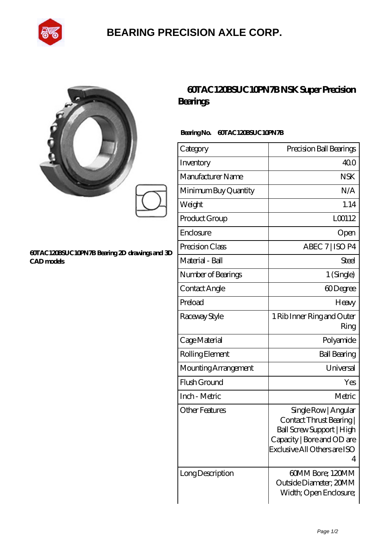

## **[BEARING PRECISION AXLE CORP.](https://jingtuzong.top)**

| ĝ |  |
|---|--|
| y |  |
|   |  |

#### **[60TAC120BSUC10PN7B Bearing 2D drawings and 3D](https://jingtuzong.top/pic-805463.html) [CAD models](https://jingtuzong.top/pic-805463.html)**

### **[60TAC120BSUC10PN7B NSK Super Precision](https://jingtuzong.top/super-precision-bearings/60tac120bsuc10pn7b.html) [Bearings](https://jingtuzong.top/super-precision-bearings/60tac120bsuc10pn7b.html)**

### **Bearing No. 60TAC120BSUC10PN7B**

| Category              | Precision Ball Bearings                                                                                                                        |
|-----------------------|------------------------------------------------------------------------------------------------------------------------------------------------|
| Inventory             | 400                                                                                                                                            |
| Manufacturer Name     | <b>NSK</b>                                                                                                                                     |
| Minimum Buy Quantity  | N/A                                                                                                                                            |
| Weight                | 1.14                                                                                                                                           |
| Product Group         | L00112                                                                                                                                         |
| Enclosure             | Open                                                                                                                                           |
| Precision Class       | ABEC 7   ISO P4                                                                                                                                |
| Material - Ball       | Steel                                                                                                                                          |
| Number of Bearings    | 1 (Single)                                                                                                                                     |
| Contact Angle         | 60Degree                                                                                                                                       |
| Preload               | Heavy                                                                                                                                          |
| Raceway Style         | 1 Rib Inner Ring and Outer<br>Ring                                                                                                             |
| Cage Material         | Polyamide                                                                                                                                      |
| Rolling Element       | <b>Ball Bearing</b>                                                                                                                            |
| Mounting Arrangement  | Universal                                                                                                                                      |
| Flush Ground          | Yes                                                                                                                                            |
| Inch - Metric         | Metric                                                                                                                                         |
| <b>Other Features</b> | Single Row   Angular<br>Contact Thrust Bearing<br>Ball Screw Support   High<br>Capacity   Bore and OD are<br>Exclusive All Others are ISO<br>4 |
| Long Description      | 60MM Bore; 120MM<br>Outside Diameter; 20MM<br>Width; Open Enclosure;                                                                           |